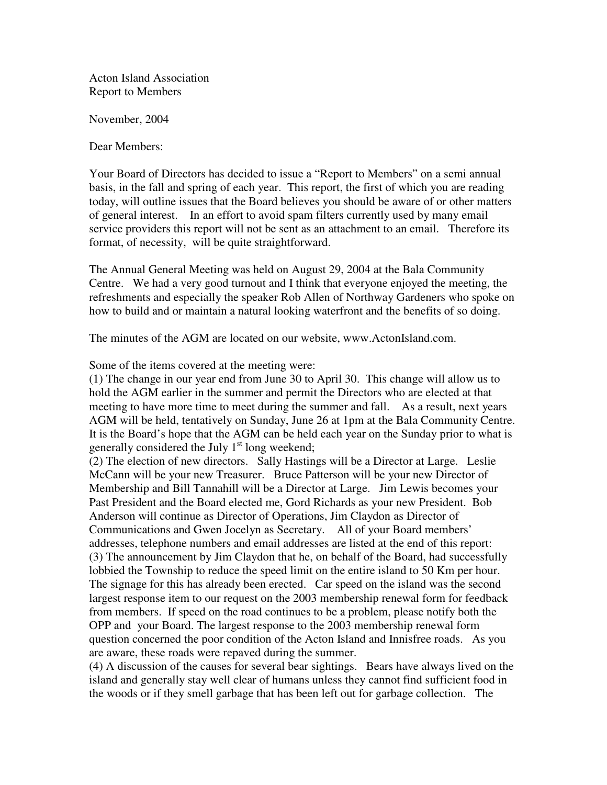Acton Island Association Report to Members

November, 2004

Dear Members:

Your Board of Directors has decided to issue a "Report to Members" on a semi annual basis, in the fall and spring of each year. This report, the first of which you are reading today, will outline issues that the Board believes you should be aware of or other matters of general interest. In an effort to avoid spam filters currently used by many email service providers this report will not be sent as an attachment to an email. Therefore its format, of necessity, will be quite straightforward.

The Annual General Meeting was held on August 29, 2004 at the Bala Community Centre. We had a very good turnout and I think that everyone enjoyed the meeting, the refreshments and especially the speaker Rob Allen of Northway Gardeners who spoke on how to build and or maintain a natural looking waterfront and the benefits of so doing.

The minutes of the AGM are located on our website, www.ActonIsland.com.

Some of the items covered at the meeting were:

(1) The change in our year end from June 30 to April 30. This change will allow us to hold the AGM earlier in the summer and permit the Directors who are elected at that meeting to have more time to meet during the summer and fall. As a result, next years AGM will be held, tentatively on Sunday, June 26 at 1pm at the Bala Community Centre. It is the Board's hope that the AGM can be held each year on the Sunday prior to what is generally considered the July 1<sup>st</sup> long weekend;

(2) The election of new directors. Sally Hastings will be a Director at Large. Leslie McCann will be your new Treasurer. Bruce Patterson will be your new Director of Membership and Bill Tannahill will be a Director at Large. Jim Lewis becomes your Past President and the Board elected me, Gord Richards as your new President. Bob Anderson will continue as Director of Operations, Jim Claydon as Director of Communications and Gwen Jocelyn as Secretary. All of your Board members' addresses, telephone numbers and email addresses are listed at the end of this report: (3) The announcement by Jim Claydon that he, on behalf of the Board, had successfully lobbied the Township to reduce the speed limit on the entire island to 50 Km per hour. The signage for this has already been erected. Car speed on the island was the second largest response item to our request on the 2003 membership renewal form for feedback from members. If speed on the road continues to be a problem, please notify both the OPP and your Board. The largest response to the 2003 membership renewal form question concerned the poor condition of the Acton Island and Innisfree roads. As you are aware, these roads were repaved during the summer.

(4) A discussion of the causes for several bear sightings. Bears have always lived on the island and generally stay well clear of humans unless they cannot find sufficient food in the woods or if they smell garbage that has been left out for garbage collection. The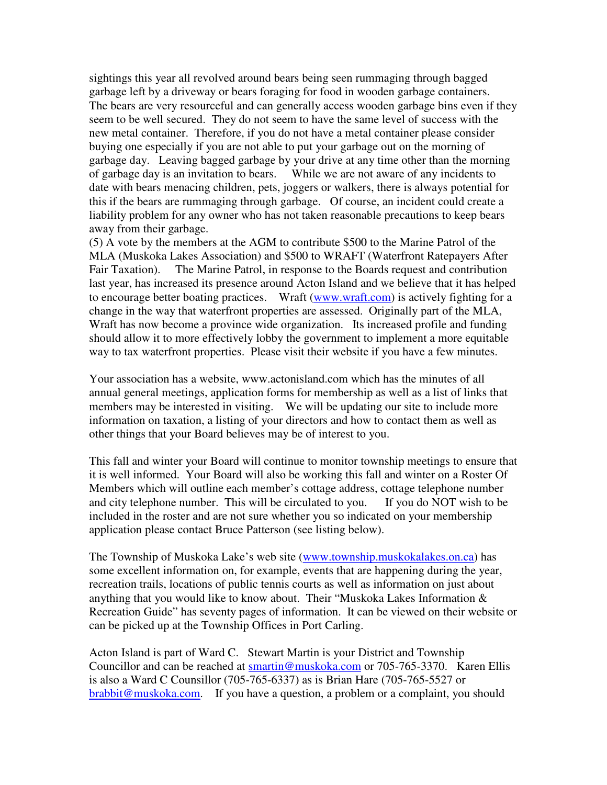sightings this year all revolved around bears being seen rummaging through bagged garbage left by a driveway or bears foraging for food in wooden garbage containers. The bears are very resourceful and can generally access wooden garbage bins even if they seem to be well secured. They do not seem to have the same level of success with the new metal container. Therefore, if you do not have a metal container please consider buying one especially if you are not able to put your garbage out on the morning of garbage day. Leaving bagged garbage by your drive at any time other than the morning of garbage day is an invitation to bears. While we are not aware of any incidents to date with bears menacing children, pets, joggers or walkers, there is always potential for this if the bears are rummaging through garbage. Of course, an incident could create a liability problem for any owner who has not taken reasonable precautions to keep bears away from their garbage.

(5) A vote by the members at the AGM to contribute \$500 to the Marine Patrol of the MLA (Muskoka Lakes Association) and \$500 to WRAFT (Waterfront Ratepayers After Fair Taxation). The Marine Patrol, in response to the Boards request and contribution last year, has increased its presence around Acton Island and we believe that it has helped to encourage better boating practices. Wraft (www.wraft.com) is actively fighting for a change in the way that waterfront properties are assessed. Originally part of the MLA, Wraft has now become a province wide organization. Its increased profile and funding should allow it to more effectively lobby the government to implement a more equitable way to tax waterfront properties. Please visit their website if you have a few minutes.

Your association has a website, www.actonisland.com which has the minutes of all annual general meetings, application forms for membership as well as a list of links that members may be interested in visiting. We will be updating our site to include more information on taxation, a listing of your directors and how to contact them as well as other things that your Board believes may be of interest to you.

This fall and winter your Board will continue to monitor township meetings to ensure that it is well informed. Your Board will also be working this fall and winter on a Roster Of Members which will outline each member's cottage address, cottage telephone number and city telephone number. This will be circulated to you. If you do NOT wish to be included in the roster and are not sure whether you so indicated on your membership application please contact Bruce Patterson (see listing below).

The Township of Muskoka Lake's web site (www.township.muskokalakes.on.ca) has some excellent information on, for example, events that are happening during the year, recreation trails, locations of public tennis courts as well as information on just about anything that you would like to know about. Their "Muskoka Lakes Information & Recreation Guide" has seventy pages of information. It can be viewed on their website or can be picked up at the Township Offices in Port Carling.

Acton Island is part of Ward C. Stewart Martin is your District and Township Councillor and can be reached at smartin@muskoka.com or 705-765-3370. Karen Ellis is also a Ward C Counsillor (705-765-6337) as is Brian Hare (705-765-5527 or brabbit@muskoka.com. If you have a question, a problem or a complaint, you should